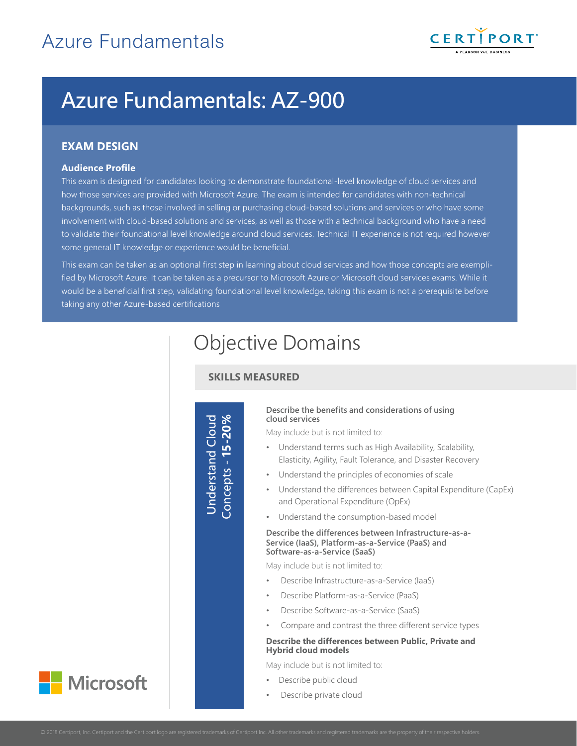

# Azure Fundamentals: AZ-900

# **EXAM DESIGN**

#### **Audience Profile**

This exam is designed for candidates looking to demonstrate foundational-level knowledge of cloud services and how those services are provided with Microsoft Azure. The exam is intended for candidates with non-technical backgrounds, such as those involved in selling or purchasing cloud-based solutions and services or who have some involvement with cloud-based solutions and services, as well as those with a technical background who have a need to validate their foundational level knowledge around cloud services. Technical IT experience is not required however some general IT knowledge or experience would be beneficial.

This exam can be taken as an optional first step in learning about cloud services and how those concepts are exemplified by Microsoft Azure. It can be taken as a precursor to Microsoft Azure or Microsoft cloud services exams. While it would be a beneficial first step, validating foundational level knowledge, taking this exam is not a prerequisite before taking any other Azure-based certifications

# Objective Domains

# **SKILLS MEASURED**

Understand Cloud Concepts - **15-20%**

#### **Describe the benefits and considerations of using cloud services**

May include but is not limited to:

- Understand terms such as High Availability, Scalability, Elasticity, Agility, Fault Tolerance, and Disaster Recovery
- Understand the principles of economies of scale
- Understand the differences between Capital Expenditure (CapEx) and Operational Expenditure (OpEx)
- Understand the consumption-based model

#### **Describe the differences between Infrastructure-as-a-Service (IaaS), Platform-as-a-Service (PaaS) and Software-as-a-Service (SaaS)**

May include but is not limited to:

- Describe Infrastructure-as-a-Service (IaaS)
- Describe Platform-as-a-Service (PaaS)
- Describe Software-as-a-Service (SaaS)
- Compare and contrast the three different service types

#### **Describe the differences between Public, Private and Hybrid cloud models**

May include but is not limited to:

- Describe public cloud
- Describe private cloud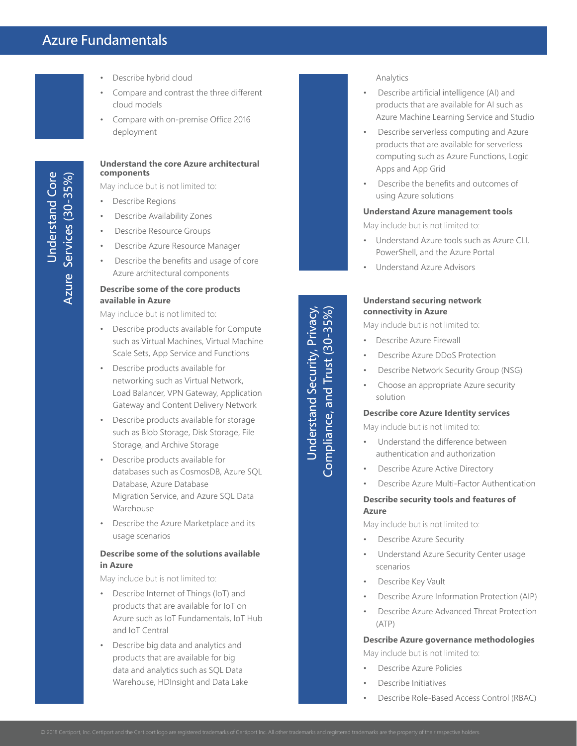# Azure Fundamentals

- Describe hybrid cloud
- Compare and contrast the three different cloud models
- Compare with on-premise Office 2016 deployment

#### **Understand the core Azure architectural components**

May include but is not limited to:

- Describe Regions
- Describe Availability Zones
- Describe Resource Groups
- Describe Azure Resource Manager
- Describe the benefits and usage of core Azure architectural components

#### **Describe some of the core products available in Azure**

May include but is not limited to:

- Describe products available for Compute such as Virtual Machines, Virtual Machine Scale Sets, App Service and Functions
- Describe products available for networking such as Virtual Network, Load Balancer, VPN Gateway, Application Gateway and Content Delivery Network
- Describe products available for storage such as Blob Storage, Disk Storage, File Storage, and Archive Storage
- Describe products available for databases such as CosmosDB, Azure SQL Database, Azure Database Migration Service, and Azure SQL Data Warehouse
- Describe the Azure Marketplace and its usage scenarios

#### **Describe some of the solutions available in Azure**

May include but is not limited to:

- Describe Internet of Things (IoT) and products that are available for IoT on Azure such as IoT Fundamentals, IoT Hub and IoT Central
- Describe big data and analytics and products that are available for big data and analytics such as SQL Data Warehouse, HDInsight and Data Lake

Analytics

- Describe artificial intelligence (AI) and products that are available for AI such as Azure Machine Learning Service and Studio
- Describe serverless computing and Azure products that are available for serverless computing such as Azure Functions, Logic Apps and App Grid
- Describe the benefits and outcomes of using Azure solutions

#### **Understand Azure management tools**

May include but is not limited to:

- Understand Azure tools such as Azure CLI, PowerShell, and the Azure Portal
- Understand Azure Advisors

#### **Understand securing network connectivity in Azure**

May include but is not limited to:

• Describe Azure Firewall

Understand Security, Privacy,

Understand Security, Privacy, Compliance, and Trust (30-35%)

Compliance, and Trust (30-35%)

- Describe Azure DDoS Protection
- Describe Network Security Group (NSG)
- Choose an appropriate Azure security solution

#### **Describe core Azure Identity services**

May include but is not limited to:

- Understand the difference between authentication and authorization
- Describe Azure Active Directory
- Describe Azure Multi-Factor Authentication

#### **Describe security tools and features of Azure**

May include but is not limited to:

- Describe Azure Security
- Understand Azure Security Center usage scenarios
- Describe Key Vault
- Describe Azure Information Protection (AIP)
- Describe Azure Advanced Threat Protection (ATP)

**Describe Azure governance methodologies** May include but is not limited to:

- Describe Azure Policies
- Describe Initiatives
- Describe Role-Based Access Control (RBAC)